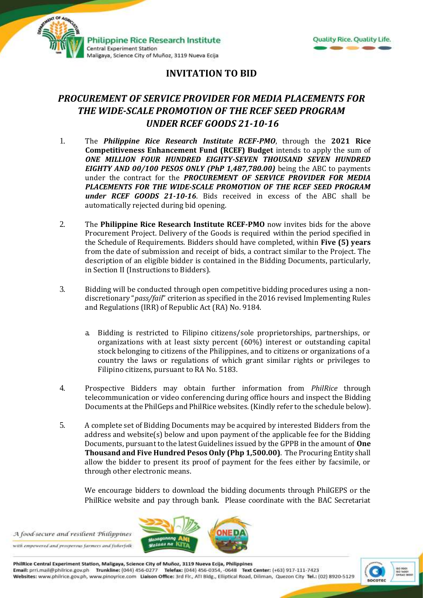



## **INVITATION TO BID**

## *PROCUREMENT OF SERVICE PROVIDER FOR MEDIA PLACEMENTS FOR THE WIDE-SCALE PROMOTION OF THE RCEF SEED PROGRAM UNDER RCEF GOODS 21-10-16*

- 1. The *Philippine Rice Research Institute RCEF-PMO*, through the **2021 Rice Competitiveness Enhancement Fund (RCEF) Budget** intends to apply the sum of *ONE MILLION FOUR HUNDRED EIGHTY-SEVEN THOUSAND SEVEN HUNDRED EIGHTY AND 00/100 PESOS ONLY (PhP 1,487,780.00)* being the ABC to payments under the contract for the *PROCUREMENT OF SERVICE PROVIDER FOR MEDIA PLACEMENTS FOR THE WIDE-SCALE PROMOTION OF THE RCEF SEED PROGRAM under RCEF GOODS 21-10-16*. Bids received in excess of the ABC shall be automatically rejected during bid opening.
- 2. The **Philippine Rice Research Institute RCEF-PMO** now invites bids for the above Procurement Project. Delivery of the Goods is required within the period specified in the Schedule of Requirements. Bidders should have completed, within **Five (5) years** from the date of submission and receipt of bids, a contract similar to the Project. The description of an eligible bidder is contained in the Bidding Documents, particularly, in Section II (Instructions to Bidders).
- 3. Bidding will be conducted through open competitive bidding procedures using a nondiscretionary "*pass/fail*" criterion as specified in the 2016 revised Implementing Rules and Regulations (IRR) of Republic Act (RA) No. 9184.
	- a. Bidding is restricted to Filipino citizens/sole proprietorships, partnerships, or organizations with at least sixty percent (60%) interest or outstanding capital stock belonging to citizens of the Philippines, and to citizens or organizations of a country the laws or regulations of which grant similar rights or privileges to Filipino citizens, pursuant to RA No. 5183.
- 4. Prospective Bidders may obtain further information from *PhilRice* through telecommunication or video conferencing during office hours and inspect the Bidding Documents at the PhilGeps and PhilRice websites. (Kindly refer to the schedule below).
- 5. A complete set of Bidding Documents may be acquired by interested Bidders from the address and website(s) below and upon payment of the applicable fee for the Bidding Documents, pursuant to the latest Guidelines issued by the GPPB in the amount of **One Thousand and Five Hundred Pesos Only (Php 1,500.00)**. The Procuring Entity shall allow the bidder to present its proof of payment for the fees either by facsimile, or through other electronic means.

We encourage bidders to download the bidding documents through PhilGEPS or the PhilRice website and pay through bank. Please coordinate with the BAC Secretariat

A food-secure and resilient Philippines with empowered and prosperous farmers and fisherfolk



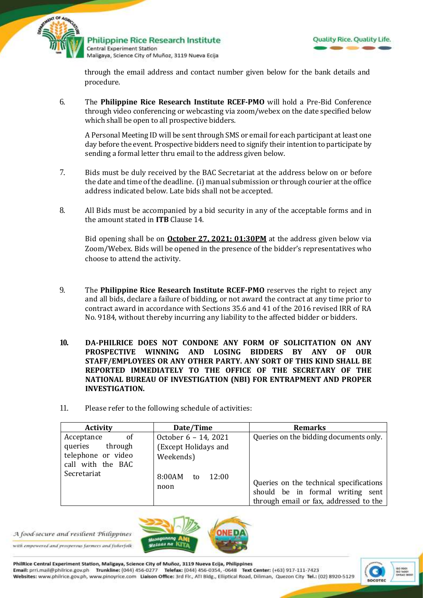



through the email address and contact number given below for the bank details and procedure.

6. The **Philippine Rice Research Institute RCEF-PMO** will hold a Pre-Bid Conference through video conferencing or webcasting via zoom/webex on the date specified below which shall be open to all prospective bidders.

A Personal Meeting ID will be sent through SMS or email for each participant at least one day before the event. Prospective bidders need to signify their intention to participate by sending a formal letter thru email to the address given below.

- 7. Bids must be duly received by the BAC Secretariat at the address below on or before the date and time of the deadline. (i) manual submission or through courier at the office address indicated below*.* Late bids shall not be accepted.
- 8. All Bids must be accompanied by a bid security in any of the acceptable forms and in the amount stated in **ITB** Clause 14.

Bid opening shall be on **October 27, 2021; 01:30PM** at the address given below via Zoom/Webex. Bids will be opened in the presence of the bidder's representatives who choose to attend the activity.

- 9. The **Philippine Rice Research Institute RCEF-PMO** reserves the right to reject any and all bids, declare a failure of bidding, or not award the contract at any time prior to contract award in accordance with Sections 35.6 and 41 of the 2016 revised IRR of RA No. 9184, without thereby incurring any liability to the affected bidder or bidders.
- **10. DA-PHILRICE DOES NOT CONDONE ANY FORM OF SOLICITATION ON ANY PROSPECTIVE WINNING AND LOSING BIDDERS BY ANY OF OUR STAFF/EMPLOYEES OR ANY OTHER PARTY. ANY SORT OF THIS KIND SHALL BE REPORTED IMMEDIATELY TO THE OFFICE OF THE SECRETARY OF THE NATIONAL BUREAU OF INVESTIGATION (NBI) FOR ENTRAPMENT AND PROPER INVESTIGATION.**
- 11. Please refer to the following schedule of activities:

| <b>Activity</b>                                                                | Date/Time                                                 | <b>Remarks</b>                                                                                                        |
|--------------------------------------------------------------------------------|-----------------------------------------------------------|-----------------------------------------------------------------------------------------------------------------------|
| of<br>Acceptance<br>queries through<br>telephone or video<br>call with the BAC | October 6 - 14, 2021<br>(Except Holidays and<br>Weekends) | Queries on the bidding documents only.                                                                                |
| Secretariat                                                                    | 8:00AM<br>12:00<br>to<br>noon                             | Queries on the technical specifications<br>should be in formal writing sent<br>through email or fax, addressed to the |



A food-secure and resilient Philippines

with empowered and prosperous farmers and fisherfolk

PhilRice Central Experiment Station, Maligaya, Science City of Muñoz, 3119 Nueva Ecija, Philippines Email: prri.mail@philrice.gov.ph Trunkline: (044) 456-0277 Telefax: (044) 456-0354, -0648 Text Center: (+63) 917-111-7423 Websites: www.philrice.gov.ph, www.pinoyrice.com Llaison Office: 3rd Flr., ATI Bldg., Elliptical Road, Diliman, Quezon City Tel.: (02) 8920-5129